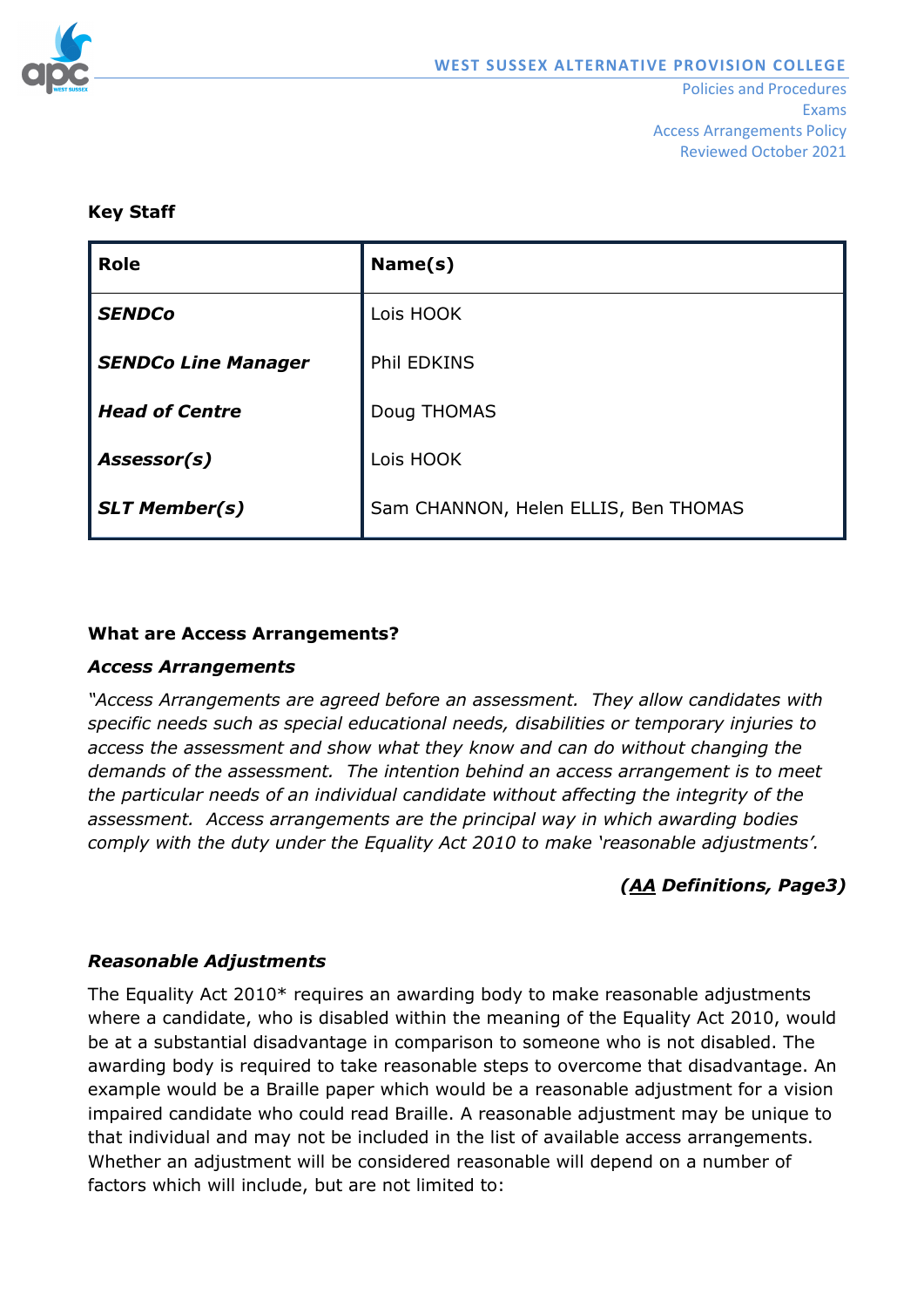

Reviewed October 2021

#### **Key Staff**

| <b>Role</b>                | Name(s)                              |
|----------------------------|--------------------------------------|
| <b>SENDCo</b>              | Lois HOOK                            |
| <b>SENDCo Line Manager</b> | <b>Phil EDKINS</b>                   |
| <b>Head of Centre</b>      | Doug THOMAS                          |
| Assessor(s)                | Lois HOOK                            |
| <b>SLT Member(s)</b>       | Sam CHANNON, Helen ELLIS, Ben THOMAS |

### **What are Access Arrangements?**

#### *Access Arrangements*

*"Access Arrangements are agreed before an assessment. They allow candidates with specific needs such as special educational needs, disabilities or temporary injuries to access the assessment and show what they know and can do without changing the demands of the assessment. The intention behind an access arrangement is to meet the particular needs of an individual candidate without affecting the integrity of the assessment. Access arrangements are the principal way in which awarding bodies comply with the duty under the Equality Act 2010 to make 'reasonable adjustments'.*

### *[\(AA](mailto:https://www.jcq.org.uk/exams-office/access-arrangements-and-special-consideration/regulations-and-guidance/access-arrangements-and-reasonable-adjustments-booklet) Definitions, Page3)*

### *Reasonable Adjustments*

The Equality Act 2010\* requires an awarding body to make reasonable adjustments where a candidate, who is disabled within the meaning of the Equality Act 2010, would be at a substantial disadvantage in comparison to someone who is not disabled. The awarding body is required to take reasonable steps to overcome that disadvantage. An example would be a Braille paper which would be a reasonable adjustment for a vision impaired candidate who could read Braille. A reasonable adjustment may be unique to that individual and may not be included in the list of available access arrangements. Whether an adjustment will be considered reasonable will depend on a number of factors which will include, but are not limited to: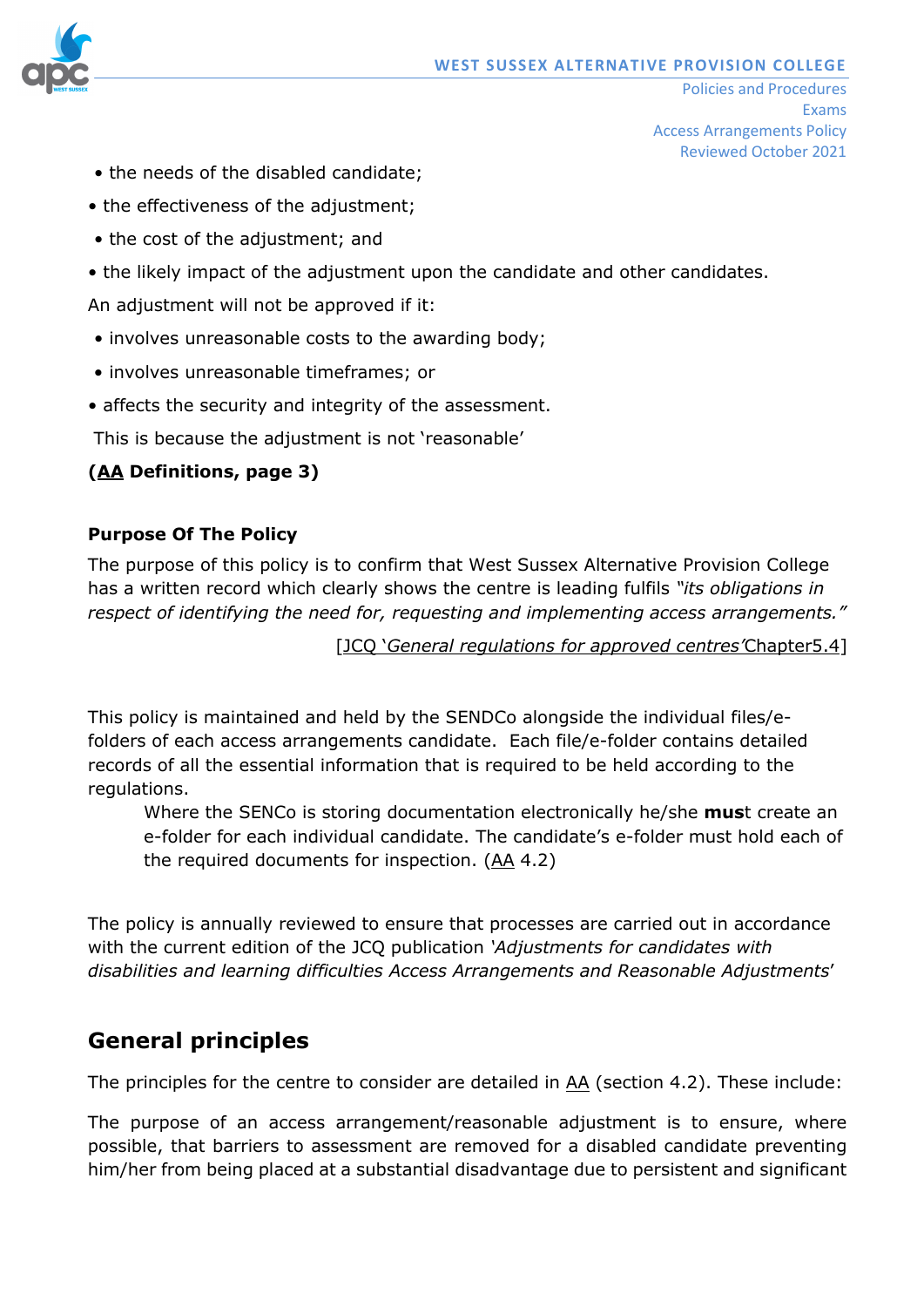

- the needs of the disabled candidate;
- the effectiveness of the adjustment:
- the cost of the adjustment; and
- the likely impact of the adjustment upon the candidate and other candidates.

An adjustment will not be approved if it:

- involves unreasonable costs to the awarding body;
- involves unreasonable timeframes; or
- affects the security and integrity of the assessment.

This is because the adjustment is not 'reasonable'

# **[\(AA](mailto:https://www.jcq.org.uk/exams-office/access-arrangements-and-special-consideration/regulations-and-guidance/access-arrangements-and-reasonable-adjustments-booklet) Definitions, page 3)**

### **Purpose Of The Policy**

The purpose of this policy is to confirm that West Sussex Alternative Provision College has a written record which clearly shows the centre is leading fulfils *"its obligations in respect of identifying the need for, requesting and implementing access arrangements."*

[JCQ '*[General regulations for approved centres'](mailto:https://www.jcq.org.uk/exams-office/general-regulations/general-regulations-for-approved-centres-2018-2019)*Chapter5.4]

This policy is maintained and held by the SENDCo alongside the individual files/efolders of each access arrangements candidate. Each file/e-folder contains detailed records of all the essential information that is required to be held according to the regulations.

Where the SENCo is storing documentation electronically he/she **mus**t create an e-folder for each individual candidate. The candidate's e-folder must hold each of the required documents for inspection. [\(AA](http://www.jcq.org.uk/exams-office/access-arrangements-and-special-consideration/regulations-and-guidance) 4.2)

The policy is annually reviewed to ensure that processes are carried out in accordance with the current edition of the JCQ publication *'Adjustments for candidates with disabilities and learning difficulties Access Arrangements and Reasonable Adjustments*'

# **General principles**

The principles for the centre to consider are detailed in  $\underline{AA}$  (section 4.2). These include:

The purpose of an access arrangement/reasonable adjustment is to ensure, where possible, that barriers to assessment are removed for a disabled candidate preventing him/her from being placed at a substantial disadvantage due to persistent and significant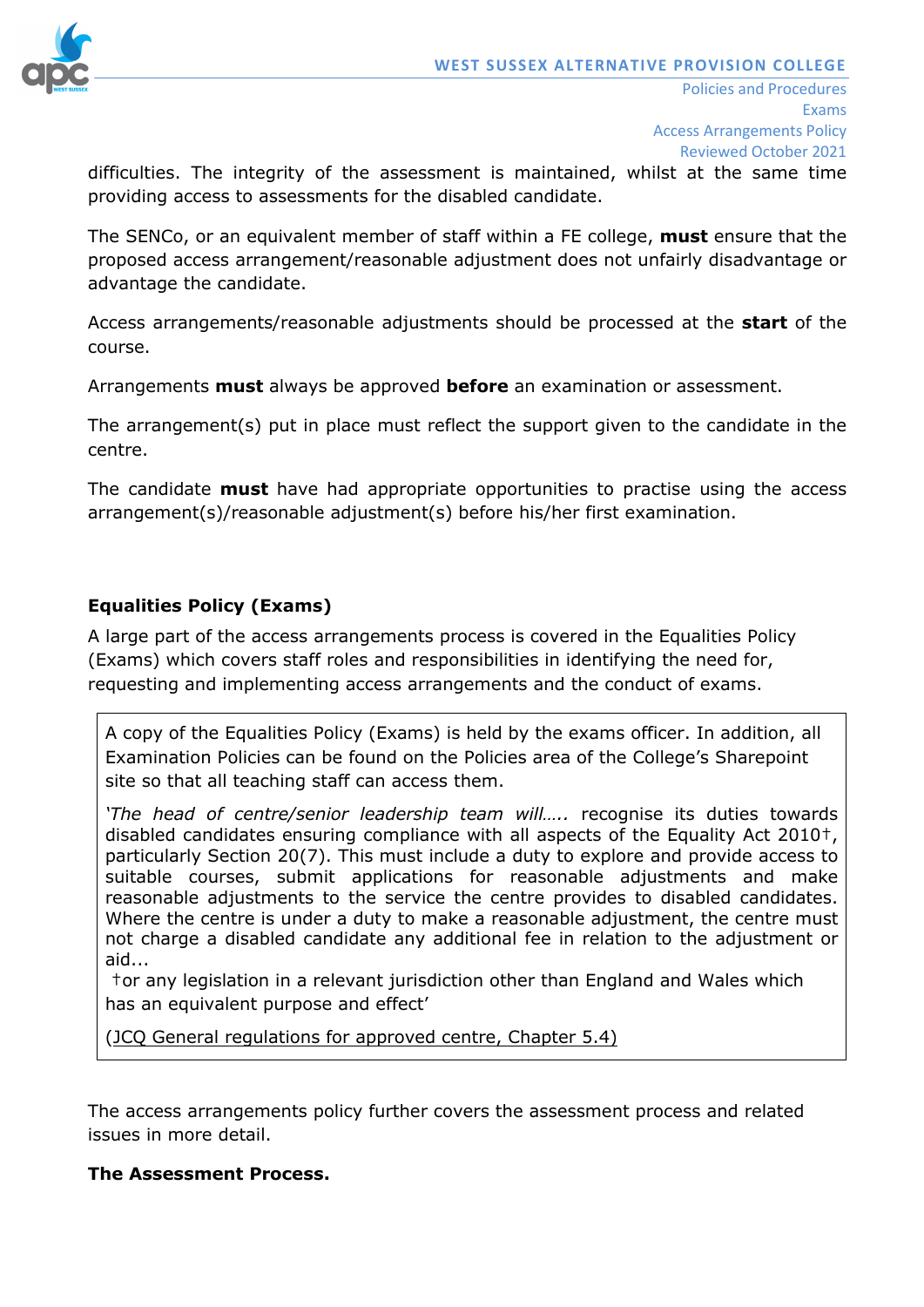

difficulties. The integrity of the assessment is maintained, whilst at the same time providing access to assessments for the disabled candidate.

The SENCo, or an equivalent member of staff within a FE college, **must** ensure that the proposed access arrangement/reasonable adjustment does not unfairly disadvantage or advantage the candidate.

Access arrangements/reasonable adjustments should be processed at the **start** of the course.

Arrangements **must** always be approved **before** an examination or assessment.

The arrangement(s) put in place must reflect the support given to the candidate in the centre.

The candidate **must** have had appropriate opportunities to practise using the access arrangement(s)/reasonable adjustment(s) before his/her first examination.

# **Equalities Policy (Exams)**

A large part of the access arrangements process is covered in the Equalities Policy (Exams) which covers staff roles and responsibilities in identifying the need for, requesting and implementing access arrangements and the conduct of exams.

A copy of the Equalities Policy (Exams) is held by the exams officer. In addition, all Examination Policies can be found on the Policies area of the College's Sharepoint site so that all teaching staff can access them.

*'The head of centre/senior leadership team will…..* recognise its duties towards disabled candidates ensuring compliance with all aspects of the Equality Act 2010†, particularly Section 20(7). This must include a duty to explore and provide access to suitable courses, submit applications for reasonable adjustments and make reasonable adjustments to the service the centre provides to disabled candidates. Where the centre is under a duty to make a reasonable adjustment, the centre must not charge a disabled candidate any additional fee in relation to the adjustment or aid...

†or any legislation in a relevant jurisdiction other than England and Wales which has an equivalent purpose and effect'

[\(JCQ General regulations for approved centre, Chapter](mailto:https://www.jcq.org.uk/exams-office/general-regulations/general-regulations-for-approved-centres-2018-2019) 5.4)

The access arrangements policy further covers the assessment process and related issues in more detail.

### **The Assessment Process.**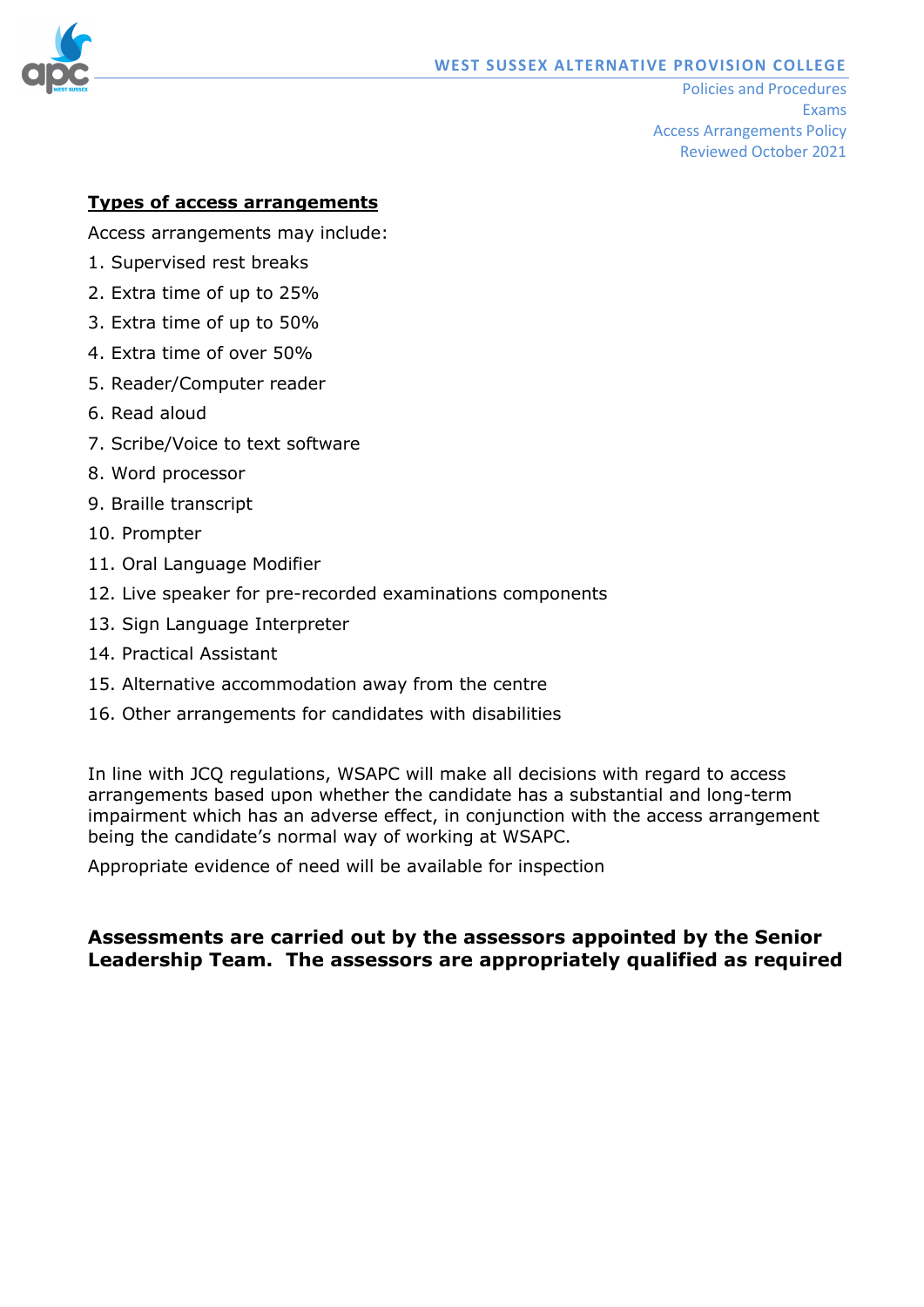

### **Types of access arrangements**

Access arrangements may include:

- 1. Supervised rest breaks
- 2. Extra time of up to 25%
- 3. Extra time of up to 50%
- 4. Extra time of over 50%
- 5. Reader/Computer reader
- 6. Read aloud
- 7. Scribe/Voice to text software
- 8. Word processor
- 9. Braille transcript
- 10. Prompter
- 11. Oral Language Modifier
- 12. Live speaker for pre-recorded examinations components
- 13. Sign Language Interpreter
- 14. Practical Assistant
- 15. Alternative accommodation away from the centre
- 16. Other arrangements for candidates with disabilities

In line with JCQ regulations, WSAPC will make all decisions with regard to access arrangements based upon whether the candidate has a substantial and long-term impairment which has an adverse effect, in conjunction with the access arrangement being the candidate's normal way of working at WSAPC.

Appropriate evidence of need will be available for inspection

### **Assessments are carried out by the assessors appointed by the Senior Leadership Team. The assessors are appropriately qualified as required**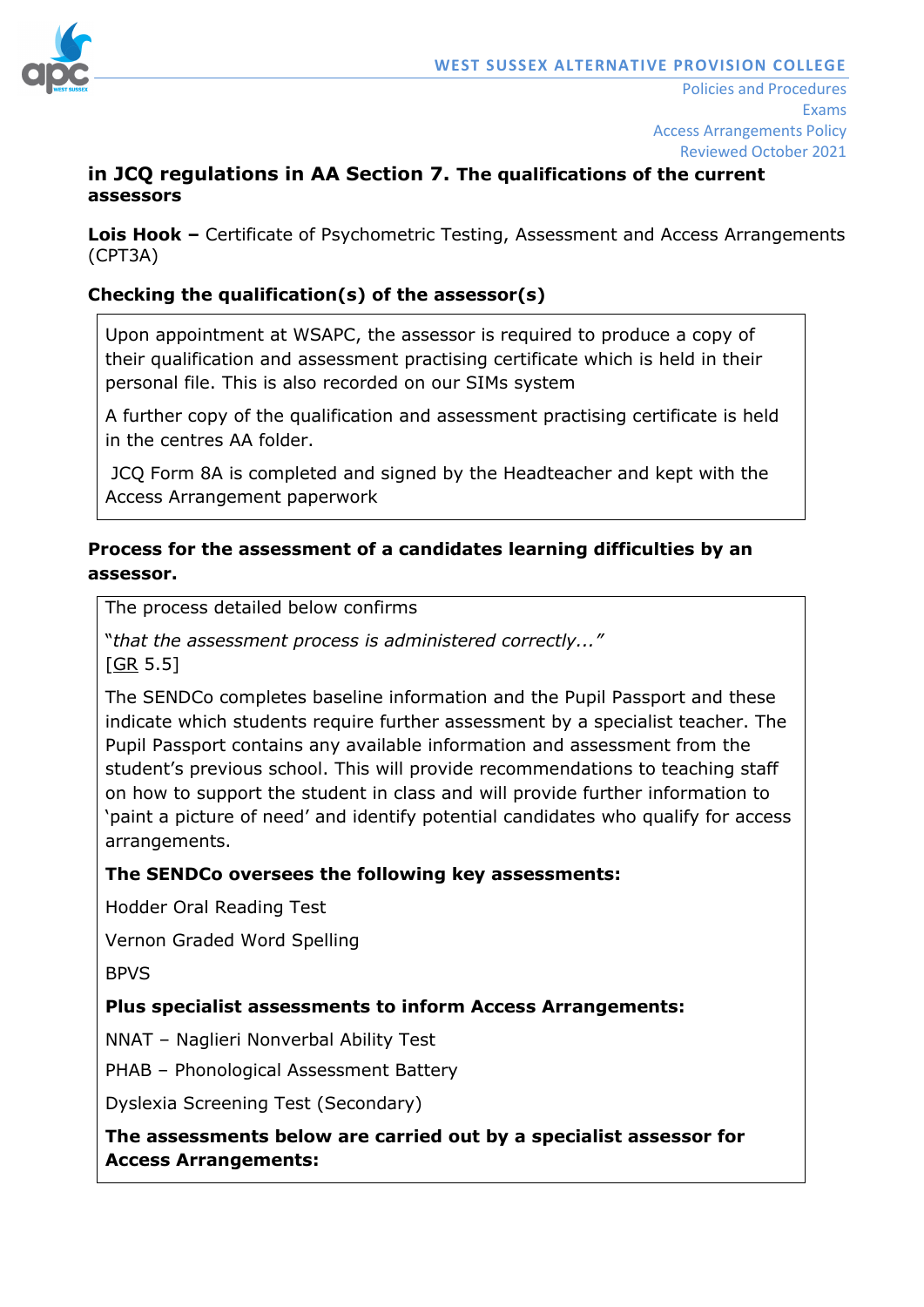

### **in JCQ regulations in AA Section 7. The qualifications of the current assessors**

**Lois Hook –** Certificate of Psychometric Testing, Assessment and Access Arrangements (CPT3A)

# **Checking the qualification(s) of the assessor(s)**

Upon appointment at WSAPC, the assessor is required to produce a copy of their qualification and assessment practising certificate which is held in their personal file. This is also recorded on our SIMs system

A further copy of the qualification and assessment practising certificate is held in the centres AA folder.

JCQ Form 8A is completed and signed by the Headteacher and kept with the Access Arrangement paperwork

# **Process for the assessment of a candidates learning difficulties by an assessor.**

The process detailed below confirms

"*that the assessment process is administered correctly..."*  $[GR 5.5]$  $[GR 5.5]$ 

The SENDCo completes baseline information and the Pupil Passport and these indicate which students require further assessment by a specialist teacher. The Pupil Passport contains any available information and assessment from the student's previous school. This will provide recommendations to teaching staff on how to support the student in class and will provide further information to 'paint a picture of need' and identify potential candidates who qualify for access arrangements.

### **The SENDCo oversees the following key assessments:**

Hodder Oral Reading Test

Vernon Graded Word Spelling

BPVS

### **Plus specialist assessments to inform Access Arrangements:**

NNAT – Naglieri Nonverbal Ability Test

PHAB – Phonological Assessment Battery

Dyslexia Screening Test (Secondary)

**The assessments below are carried out by a specialist assessor for Access Arrangements:**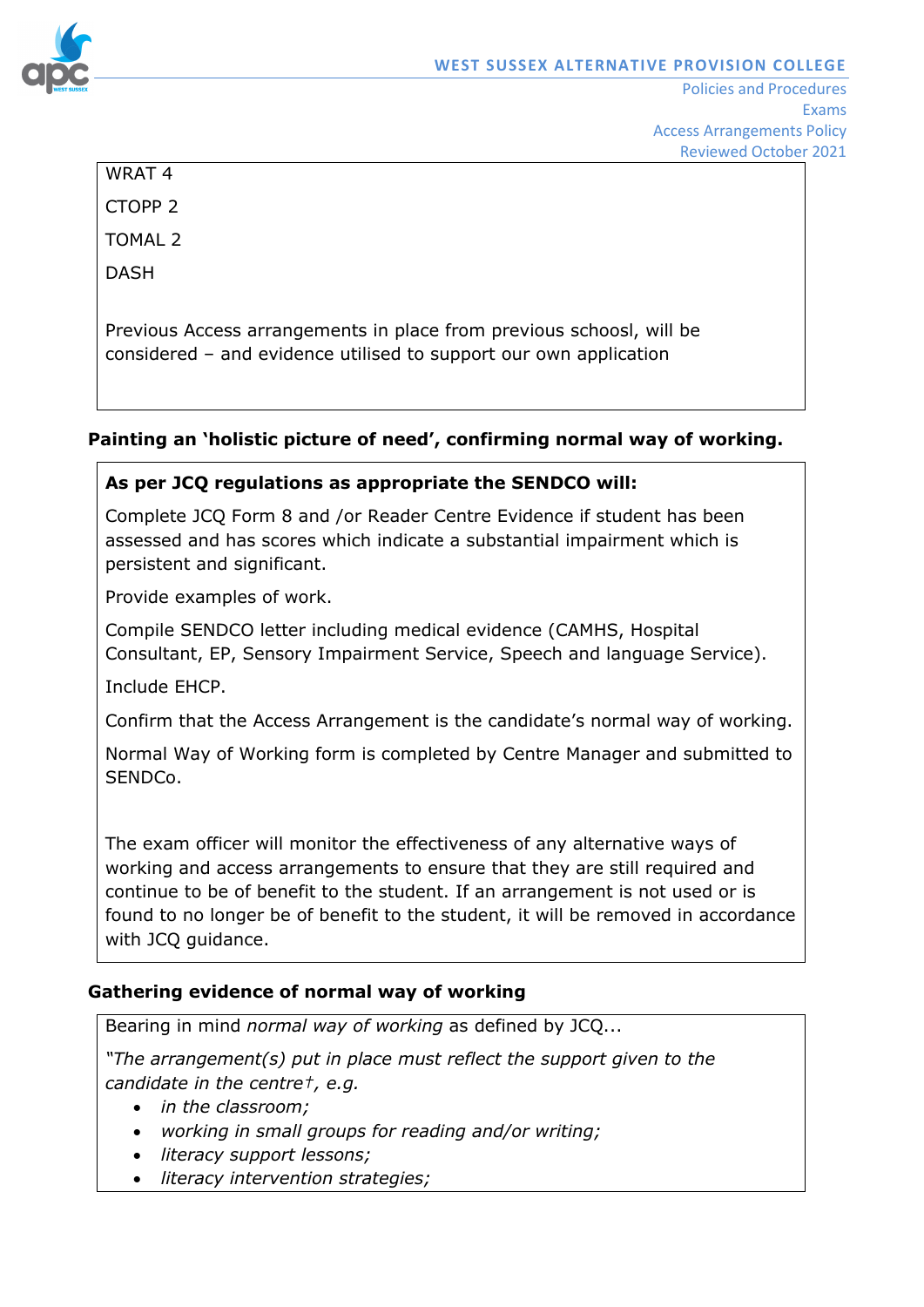

WRAT 4 CTOPP 2

TOMAL 2

DASH

Previous Access arrangements in place from previous schoosl, will be considered – and evidence utilised to support our own application

# **Painting an 'holistic picture of need', confirming normal way of working.**

# **As per JCQ regulations as appropriate the SENDCO will:**

Complete JCQ Form 8 and /or Reader Centre Evidence if student has been assessed and has scores which indicate a substantial impairment which is persistent and significant.

Provide examples of work.

Compile SENDCO letter including medical evidence (CAMHS, Hospital Consultant, EP, Sensory Impairment Service, Speech and language Service).

Include EHCP.

Confirm that the Access Arrangement is the candidate's normal way of working.

Normal Way of Working form is completed by Centre Manager and submitted to SENDCo.

The exam officer will monitor the effectiveness of any alternative ways of working and access arrangements to ensure that they are still required and continue to be of benefit to the student. If an arrangement is not used or is found to no longer be of benefit to the student, it will be removed in accordance with JCQ guidance.

# **Gathering evidence of normal way of working**

Bearing in mind *normal way of working* as defined by JCQ...

*"The arrangement(s) put in place must reflect the support given to the candidate in the centre†, e.g.*

- *in the classroom;*
- *working in small groups for reading and/or writing;*
- *literacy support lessons;*
- *literacy intervention strategies;*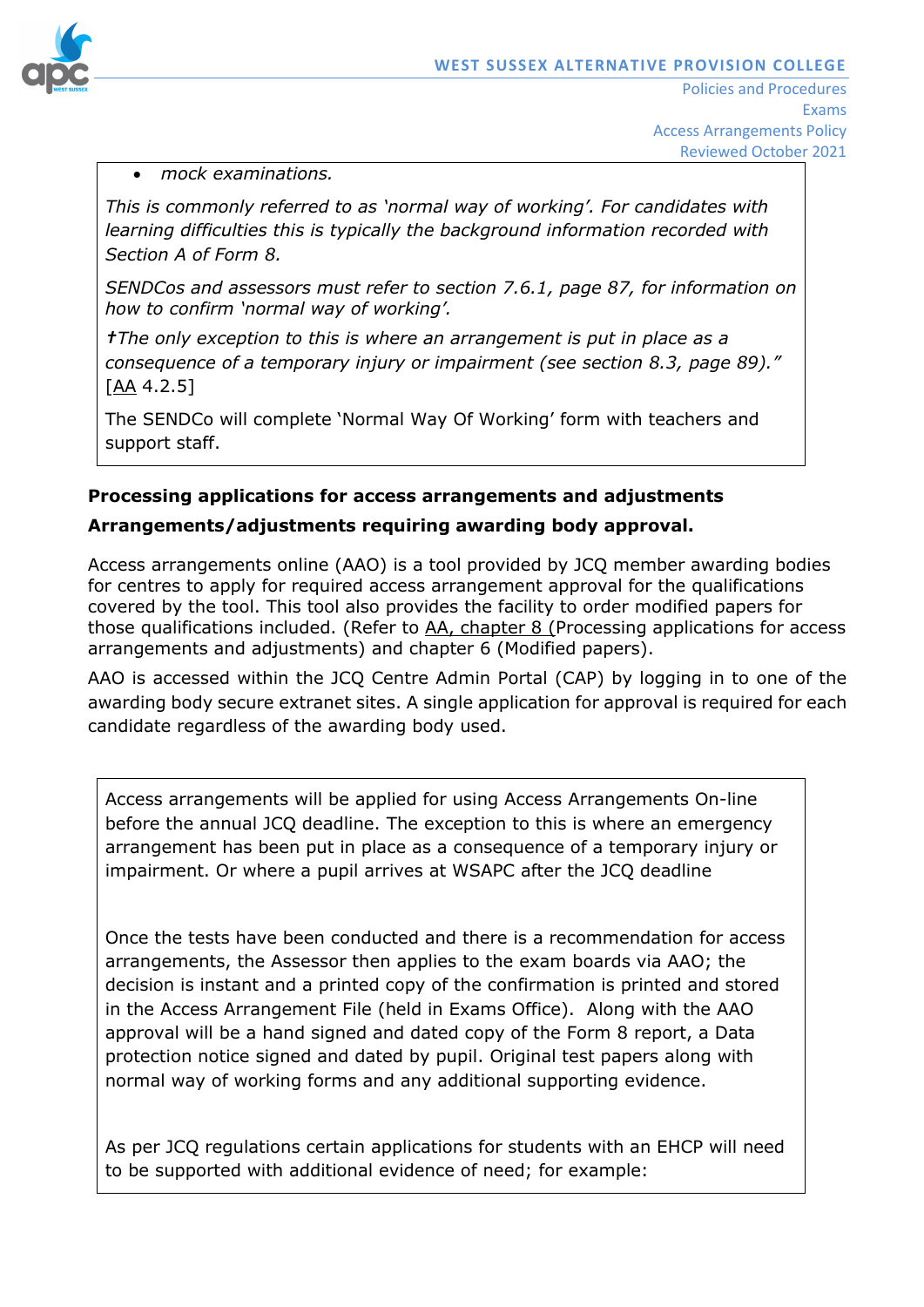

Access Arrangements Policy Reviewed October 2021

### • *mock examinations.*

*This is commonly referred to as 'normal way of working'. For candidates with learning difficulties this is typically the background information recorded with Section A of Form 8.*

*SENDCos and assessors must refer to section 7.6.1, page 87, for information on how to confirm 'normal way of working'.* 

*†The only exception to this is where an arrangement is put in place as a consequence of a temporary injury or impairment (see section 8.3, page 89)."*  [\[AA](http://www.jcq.org.uk/exams-office/access-arrangements-and-special-consideration/regulations-and-guidance) 4.2.5]

The SENDCo will complete 'Normal Way Of Working' form with teachers and support staff.

### **Processing applications for access arrangements and adjustments**

### **Arrangements/adjustments requiring awarding body approval.**

Access arrangements online (AAO) is a tool provided by JCQ member awarding bodies for centres to apply for required access arrangement approval for the qualifications covered by the tool. This tool also provides the facility to order modified papers for those qualifications included. (Refer to [AA,](http://www.jcq.org.uk/exams-office/access-arrangements-and-special-consideration/regulations-and-guidance) chapter 8 (Processing applications for access arrangements and adjustments) and chapter 6 (Modified papers).

AAO is accessed within the JCQ Centre Admin Portal (CAP) by logging in to one of the awarding body secure extranet sites. A single application for approval is required for each candidate regardless of the awarding body used.

Access arrangements will be applied for using Access Arrangements On-line before the annual JCQ deadline. The exception to this is where an emergency arrangement has been put in place as a consequence of a temporary injury or impairment. Or where a pupil arrives at WSAPC after the JCQ deadline

Once the tests have been conducted and there is a recommendation for access arrangements, the Assessor then applies to the exam boards via AAO; the decision is instant and a printed copy of the confirmation is printed and stored in the Access Arrangement File (held in Exams Office). Along with the AAO approval will be a hand signed and dated copy of the Form 8 report, a Data protection notice signed and dated by pupil. Original test papers along with normal way of working forms and any additional supporting evidence.

As per JCQ regulations certain applications for students with an EHCP will need to be supported with additional evidence of need; for example: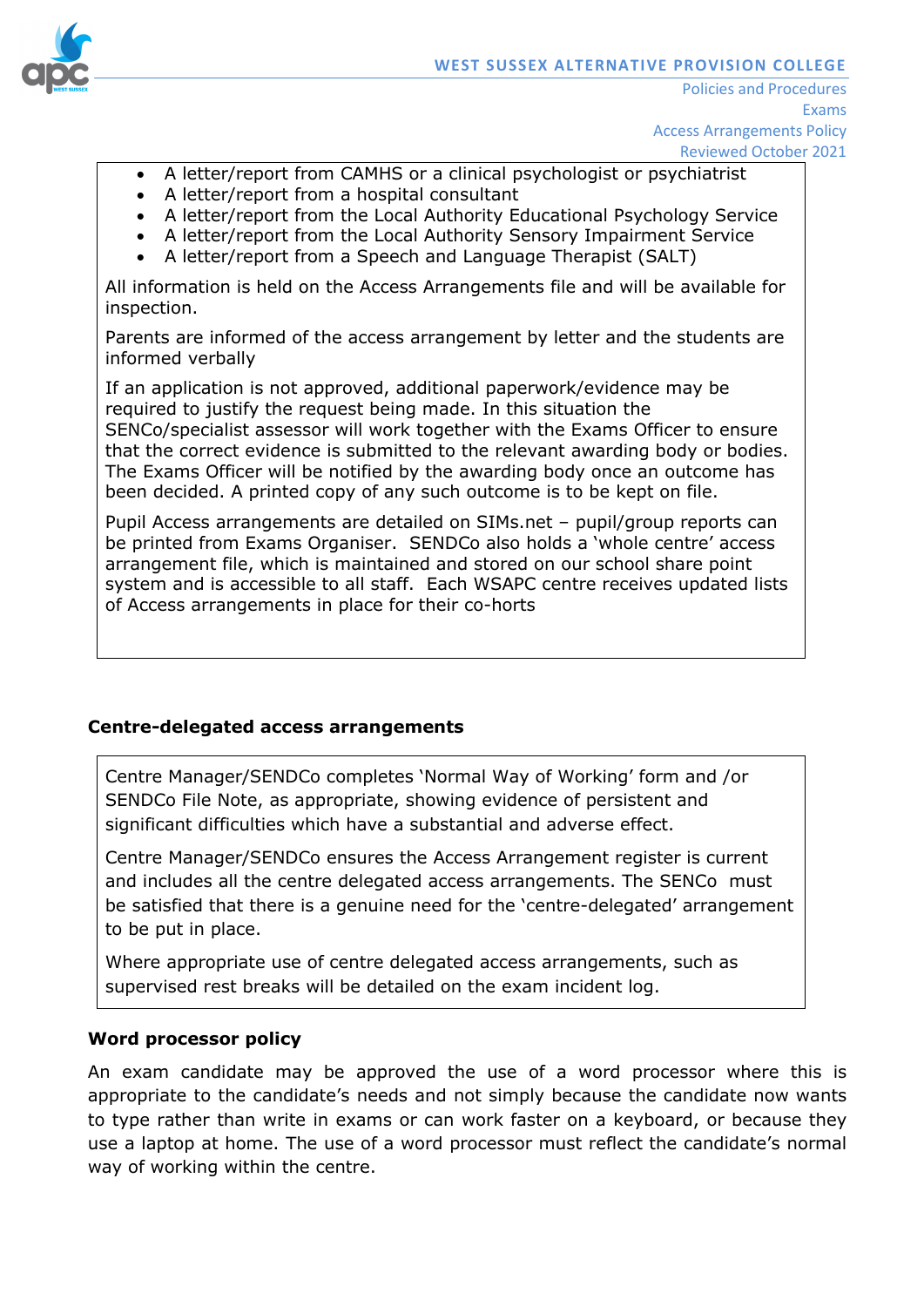

- A letter/report from CAMHS or a clinical psychologist or psychiatrist
- A letter/report from a hospital consultant
- A letter/report from the Local Authority Educational Psychology Service
- A letter/report from the Local Authority Sensory Impairment Service
- A letter/report from a Speech and Language Therapist (SALT)

All information is held on the Access Arrangements file and will be available for inspection.

Parents are informed of the access arrangement by letter and the students are informed verbally

If an application is not approved, additional paperwork/evidence may be required to justify the request being made. In this situation the SENCo/specialist assessor will work together with the Exams Officer to ensure that the correct evidence is submitted to the relevant awarding body or bodies. The Exams Officer will be notified by the awarding body once an outcome has been decided. A printed copy of any such outcome is to be kept on file.

Pupil Access arrangements are detailed on SIMs.net – pupil/group reports can be printed from Exams Organiser. SENDCo also holds a 'whole centre' access arrangement file, which is maintained and stored on our school share point system and is accessible to all staff. Each WSAPC centre receives updated lists of Access arrangements in place for their co-horts

### **Centre-delegated access arrangements**

Centre Manager/SENDCo completes 'Normal Way of Working' form and /or SENDCo File Note, as appropriate, showing evidence of persistent and significant difficulties which have a substantial and adverse effect.

Centre Manager/SENDCo ensures the Access Arrangement register is current and includes all the centre delegated access arrangements. The SENCo must be satisfied that there is a genuine need for the 'centre-delegated' arrangement to be put in place.

Where appropriate use of centre delegated access arrangements, such as supervised rest breaks will be detailed on the exam incident log.

### **Word processor policy**

An exam candidate may be approved the use of a word processor where this is appropriate to the candidate's needs and not simply because the candidate now wants to type rather than write in exams or can work faster on a keyboard, or because they use a laptop at home. The use of a word processor must reflect the candidate's normal way of working within the centre.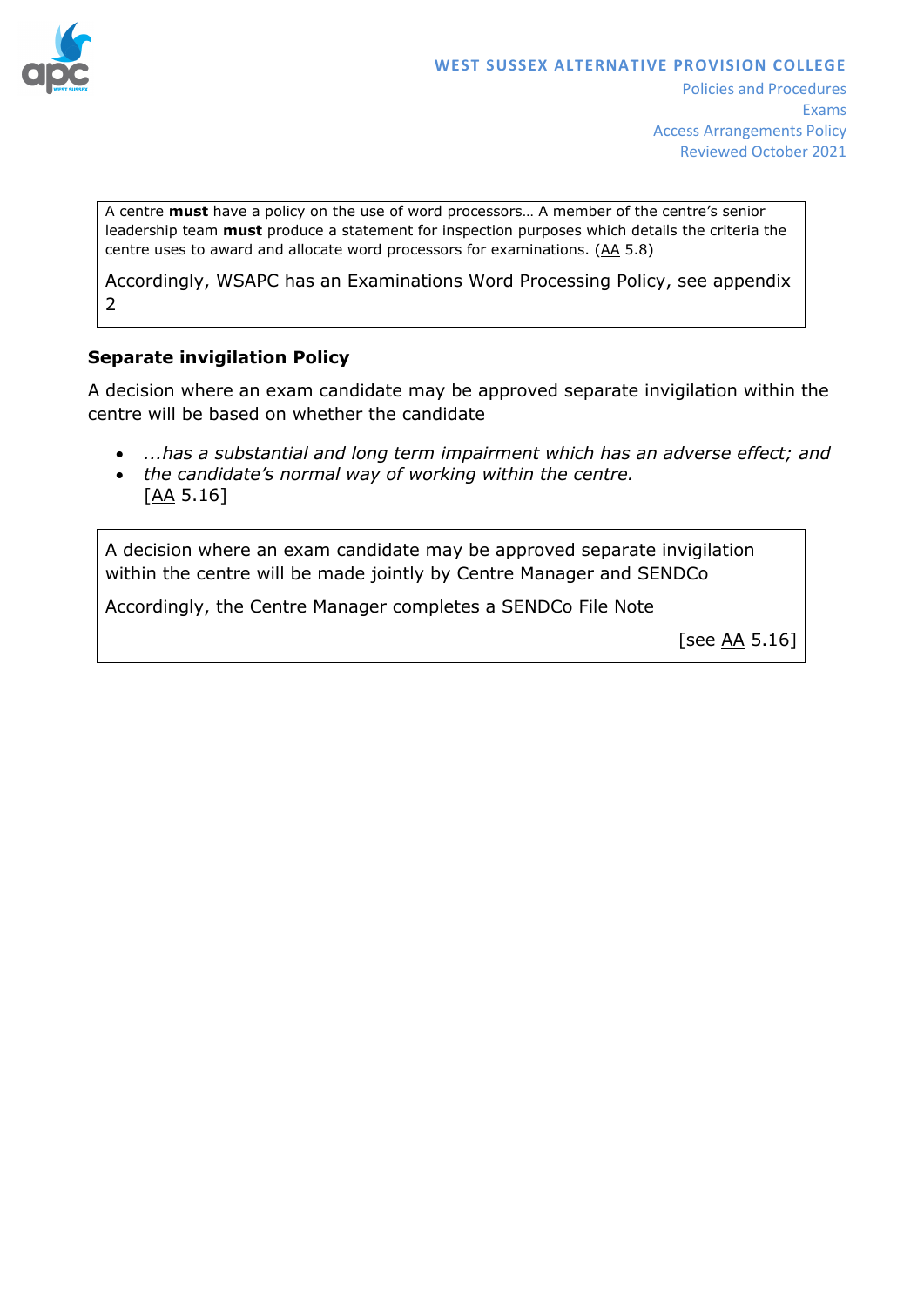

A centre **must** have a policy on the use of word processors… A member of the centre's senior leadership team **must** produce a statement for inspection purposes which details the criteria the centre uses to award and allocate word processors for examinations. [\(AA](http://www.jcq.org.uk/exams-office/access-arrangements-and-special-consideration/regulations-and-guidance) 5.8)

Accordingly, WSAPC has an Examinations Word Processing Policy, see appendix 2

### **Separate invigilation Policy**

A decision where an exam candidate may be approved separate invigilation within the centre will be based on whether the candidate

- *...has a substantial and long term impairment which has an adverse effect; and*
- *the candidate's normal way of working within the centre.*  [\[AA](http://www.jcq.org.uk/exams-office/access-arrangements-and-special-consideration) 5.16]

A decision where an exam candidate may be approved separate invigilation within the centre will be made jointly by Centre Manager and SENDCo

Accordingly, the Centre Manager completes a SENDCo File Note

[see [AA](http://www.jcq.org.uk/exams-office/access-arrangements-and-special-consideration) 5.16]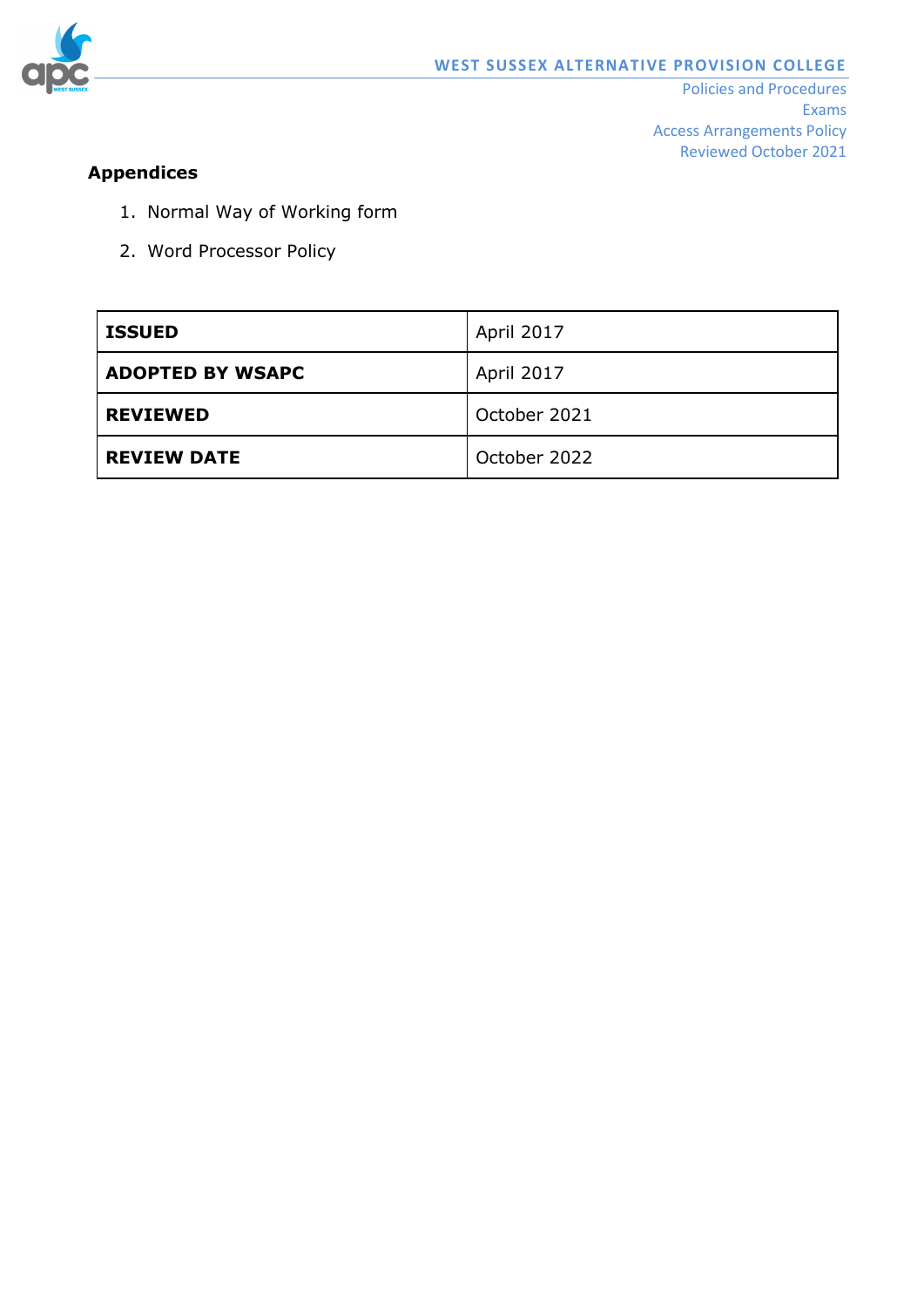

# **Appendices**

- 1. Normal Way of Working form
- 2. Word Processor Policy

| <b>ISSUED</b>           | <b>April 2017</b> |
|-------------------------|-------------------|
| <b>ADOPTED BY WSAPC</b> | April 2017        |
| <b>REVIEWED</b>         | October 2021      |
| <b>REVIEW DATE</b>      | October 2022      |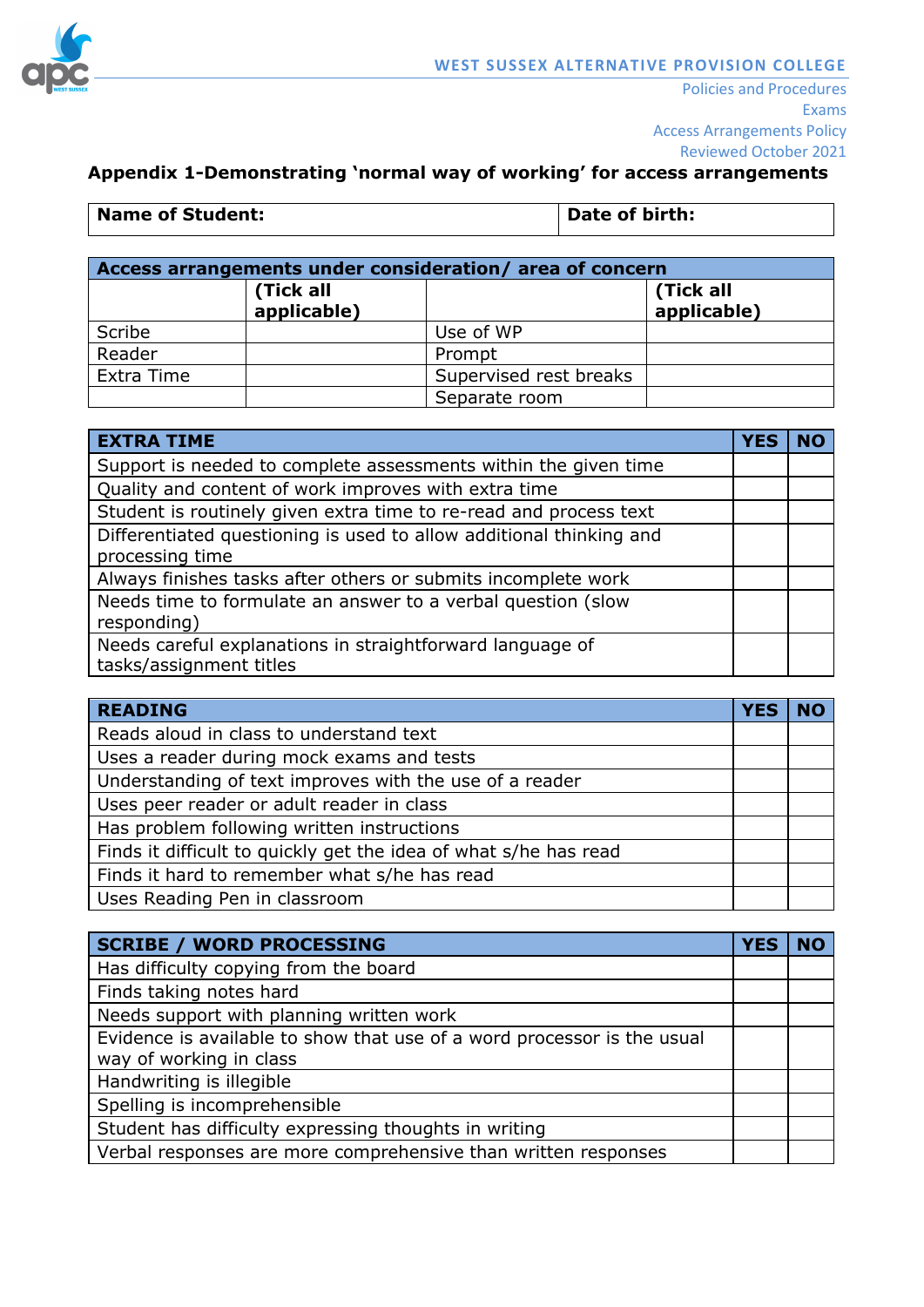

# **Appendix 1-Demonstrating 'normal way of working' for access arrangements**

|  |  | <b>Name of Student:</b> |  |
|--|--|-------------------------|--|
|--|--|-------------------------|--|

**Date of birth:** 

| Access arrangements under consideration/area of concern |                          |                        |                          |
|---------------------------------------------------------|--------------------------|------------------------|--------------------------|
|                                                         | (Tick all<br>applicable) |                        | (Tick all<br>applicable) |
| Scribe                                                  |                          | Use of WP              |                          |
| Reader                                                  |                          | Prompt                 |                          |
| Extra Time                                              |                          | Supervised rest breaks |                          |
|                                                         |                          | Separate room          |                          |

| <b>EXTRA TIME</b>                                                   | <b>YES</b> |  |
|---------------------------------------------------------------------|------------|--|
| Support is needed to complete assessments within the given time     |            |  |
| Quality and content of work improves with extra time                |            |  |
| Student is routinely given extra time to re-read and process text   |            |  |
| Differentiated questioning is used to allow additional thinking and |            |  |
| processing time                                                     |            |  |
| Always finishes tasks after others or submits incomplete work       |            |  |
| Needs time to formulate an answer to a verbal question (slow        |            |  |
| responding)                                                         |            |  |
| Needs careful explanations in straightforward language of           |            |  |
| tasks/assignment titles                                             |            |  |

| <b>READING</b>                                                   | <b>YES</b> |  |
|------------------------------------------------------------------|------------|--|
| Reads aloud in class to understand text                          |            |  |
| Uses a reader during mock exams and tests                        |            |  |
| Understanding of text improves with the use of a reader          |            |  |
| Uses peer reader or adult reader in class                        |            |  |
| Has problem following written instructions                       |            |  |
| Finds it difficult to quickly get the idea of what s/he has read |            |  |
| Finds it hard to remember what s/he has read                     |            |  |
| Uses Reading Pen in classroom                                    |            |  |

| <b>SCRIBE / WORD PROCESSING</b>                                         |  |
|-------------------------------------------------------------------------|--|
| Has difficulty copying from the board                                   |  |
| Finds taking notes hard                                                 |  |
| Needs support with planning written work                                |  |
| Evidence is available to show that use of a word processor is the usual |  |
| way of working in class                                                 |  |
| Handwriting is illegible                                                |  |
| Spelling is incomprehensible                                            |  |
| Student has difficulty expressing thoughts in writing                   |  |
| Verbal responses are more comprehensive than written responses          |  |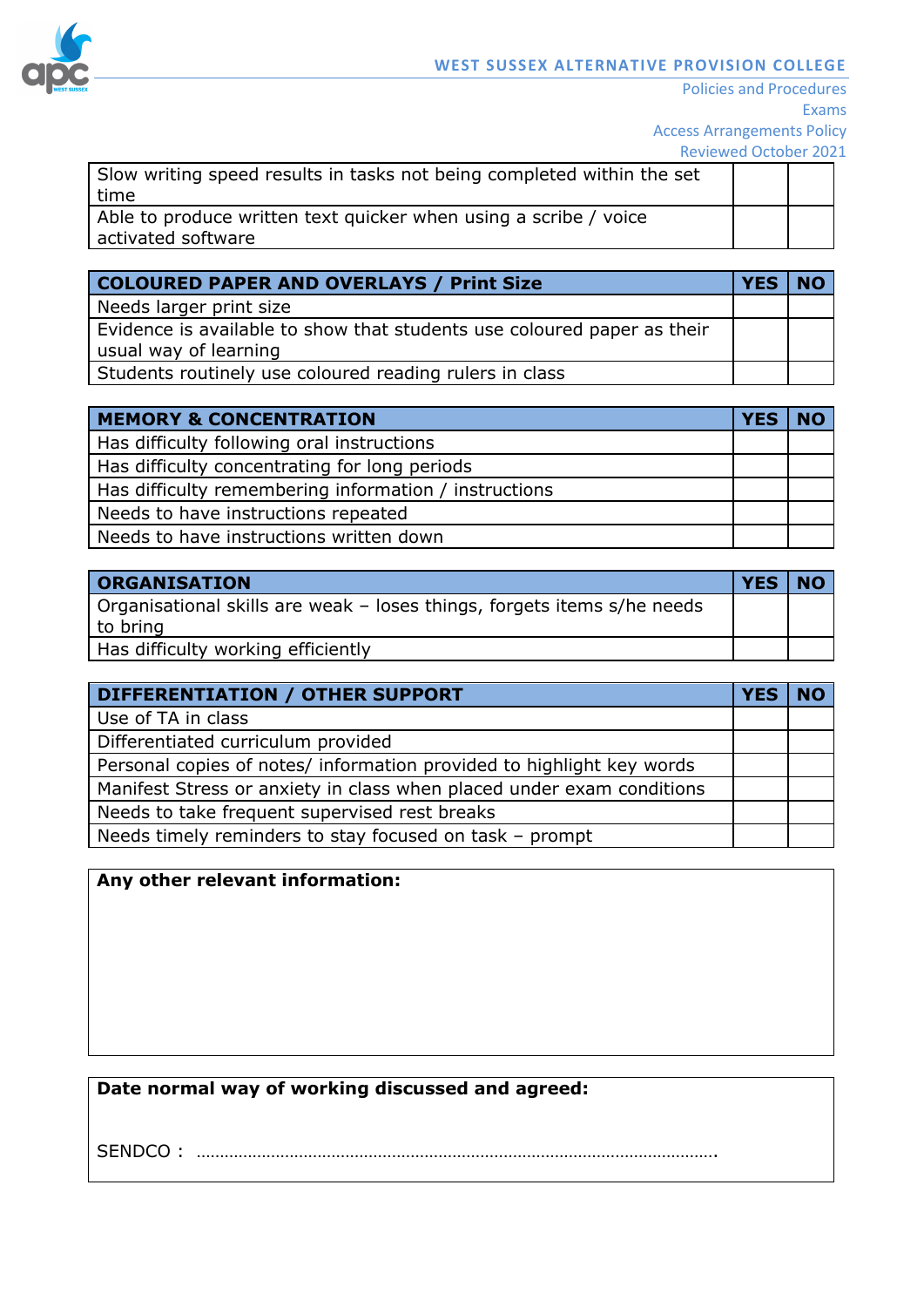

| Slow writing speed results in tasks not being completed within the set |  |
|------------------------------------------------------------------------|--|
| time                                                                   |  |
| Able to produce written text quicker when using a scribe / voice       |  |
| activated software                                                     |  |

| <b>COLOURED PAPER AND OVERLAYS / Print Size</b>                                                  | <b>YES</b> | <b>NO</b> |
|--------------------------------------------------------------------------------------------------|------------|-----------|
| Needs larger print size                                                                          |            |           |
| Evidence is available to show that students use coloured paper as their<br>usual way of learning |            |           |
| Students routinely use coloured reading rulers in class                                          |            |           |

| <b>MEMORY &amp; CONCENTRATION</b>                     | <b>YES</b> | <b>NO</b> |
|-------------------------------------------------------|------------|-----------|
| Has difficulty following oral instructions            |            |           |
| Has difficulty concentrating for long periods         |            |           |
| Has difficulty remembering information / instructions |            |           |
| Needs to have instructions repeated                   |            |           |
| Needs to have instructions written down               |            |           |

| <b>ORGANISATION</b>                                                                 | <b>YES</b> | <b>NO</b> |
|-------------------------------------------------------------------------------------|------------|-----------|
| Organisational skills are weak - loses things, forgets items s/he needs<br>to bring |            |           |
| Has difficulty working efficiently                                                  |            |           |

| DIFFERENTIATION / OTHER SUPPORT                                       | <b>YES</b> | <b>NO</b> |
|-----------------------------------------------------------------------|------------|-----------|
| Use of TA in class                                                    |            |           |
| Differentiated curriculum provided                                    |            |           |
| Personal copies of notes/ information provided to highlight key words |            |           |
| Manifest Stress or anxiety in class when placed under exam conditions |            |           |
| Needs to take frequent supervised rest breaks                         |            |           |
| Needs timely reminders to stay focused on task - prompt               |            |           |

| Any other relevant information: |  |
|---------------------------------|--|
|---------------------------------|--|

# **Date normal way of working discussed and agreed:**

SENDCO : ………………………………………………………………………………………………….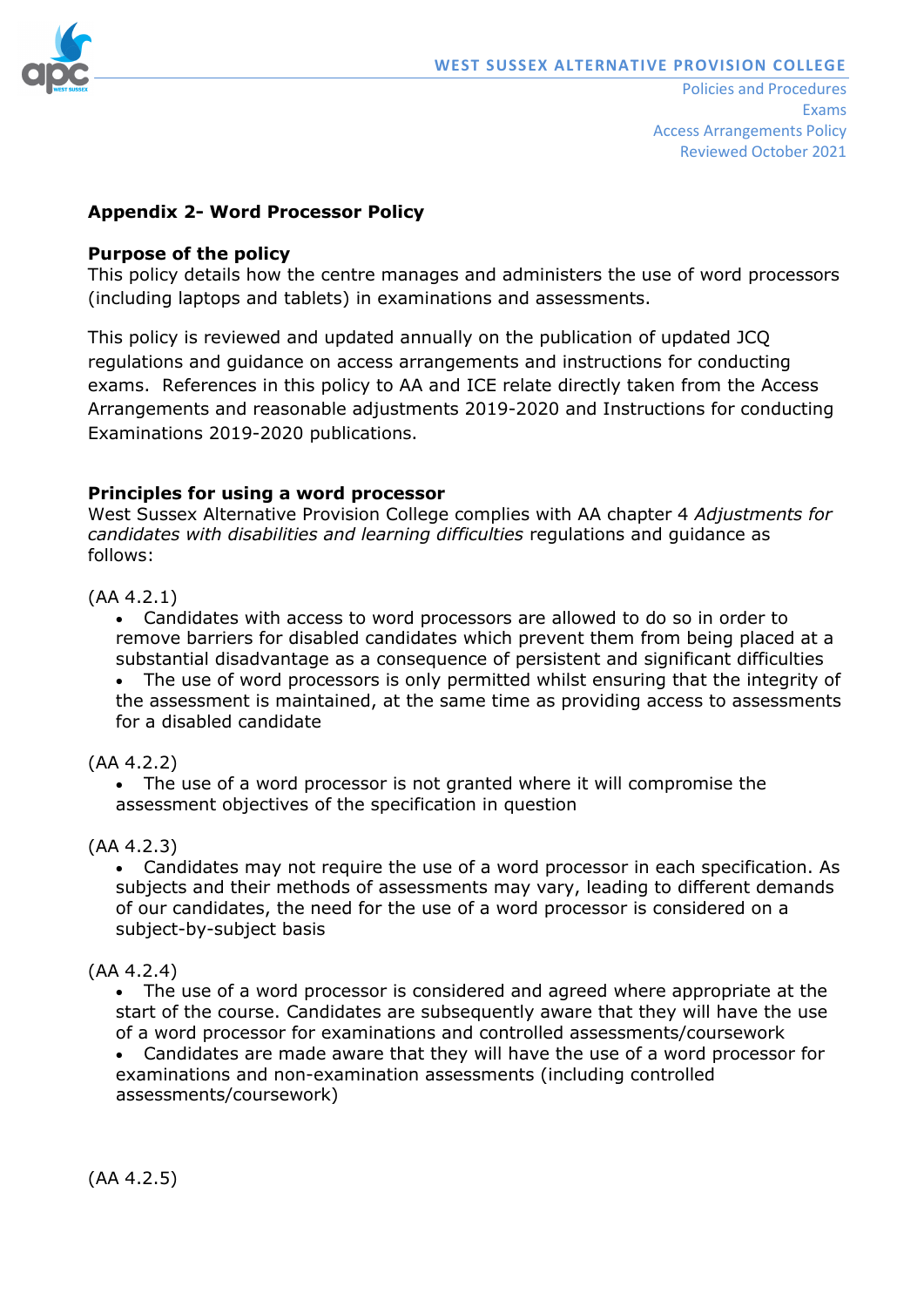

### **Appendix 2- Word Processor Policy**

#### **Purpose of the policy**

This policy details how the centre manages and administers the use of word processors (including laptops and tablets) in examinations and assessments.

This policy is reviewed and updated annually on the publication of updated JCQ regulations and guidance on access arrangements and instructions for conducting exams. References in this policy to AA and ICE relate directly taken from the Access Arrangements and reasonable adjustments 2019-2020 and Instructions for conducting Examinations 2019-2020 publications.

### **Principles for using a word processor**

West Sussex Alternative Provision College complies with AA chapter 4 *Adjustments for candidates with disabilities and learning difficulties* regulations and guidance as follows:

### (AA 4.2.1)

• Candidates with access to word processors are allowed to do so in order to remove barriers for disabled candidates which prevent them from being placed at a substantial disadvantage as a consequence of persistent and significant difficulties • The use of word processors is only permitted whilst ensuring that the integrity of the assessment is maintained, at the same time as providing access to assessments for a disabled candidate

### (AA 4.2.2)

• The use of a word processor is not granted where it will compromise the assessment objectives of the specification in question

#### (AA 4.2.3)

• Candidates may not require the use of a word processor in each specification. As subjects and their methods of assessments may vary, leading to different demands of our candidates, the need for the use of a word processor is considered on a subject-by-subject basis

### (AA 4.2.4)

• The use of a word processor is considered and agreed where appropriate at the start of the course. Candidates are subsequently aware that they will have the use of a word processor for examinations and controlled assessments/coursework

• Candidates are made aware that they will have the use of a word processor for examinations and non-examination assessments (including controlled assessments/coursework)

(AA 4.2.5)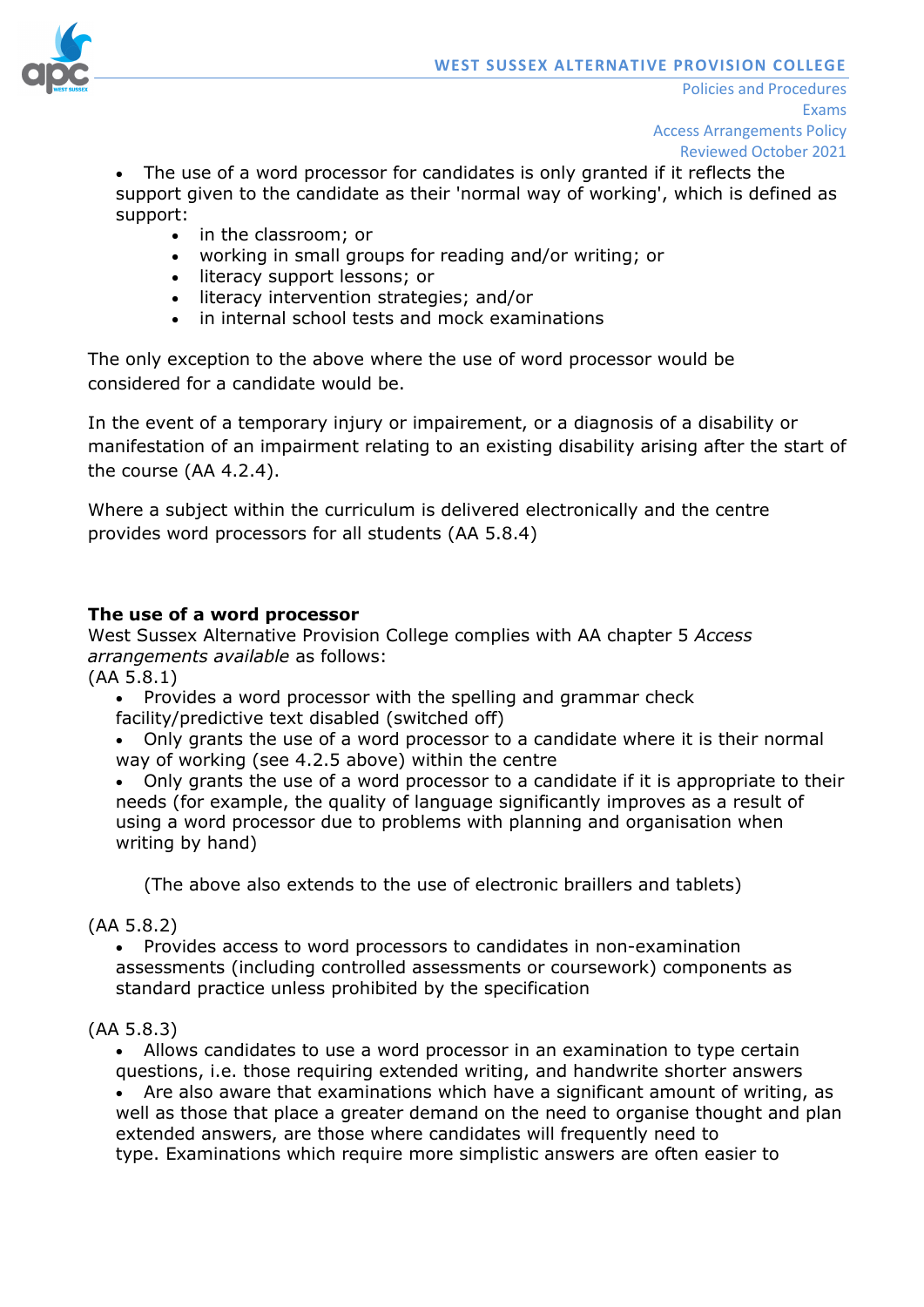

• The use of a word processor for candidates is only granted if it reflects the support given to the candidate as their 'normal way of working', which is defined as support:

- in the classroom; or
- working in small groups for reading and/or writing; or
- literacy support lessons; or
- literacy intervention strategies; and/or
- in internal school tests and mock examinations

The only exception to the above where the use of word processor would be considered for a candidate would be.

In the event of a temporary injury or impairement, or a diagnosis of a disability or manifestation of an impairment relating to an existing disability arising after the start of the course (AA 4.2.4).

Where a subject within the curriculum is delivered electronically and the centre provides word processors for all students (AA 5.8.4)

### **The use of a word processor**

West Sussex Alternative Provision College complies with AA chapter 5 *Access arrangements available* as follows:

(AA 5.8.1)

• Provides a word processor with the spelling and grammar check facility/predictive text disabled (switched off)

• Only grants the use of a word processor to a candidate where it is their normal way of working (see 4.2.5 above) within the centre

• Only grants the use of a word processor to a candidate if it is appropriate to their needs (for example, the quality of language significantly improves as a result of using a word processor due to problems with planning and organisation when writing by hand)

(The above also extends to the use of electronic braillers and tablets)

(AA 5.8.2)

• Provides access to word processors to candidates in non-examination assessments (including controlled assessments or coursework) components as standard practice unless prohibited by the specification

### (AA 5.8.3)

• Allows candidates to use a word processor in an examination to type certain questions, i.e. those requiring extended writing, and handwrite shorter answers

• Are also aware that examinations which have a significant amount of writing, as well as those that place a greater demand on the need to organise thought and plan extended answers, are those where candidates will frequently need to type. Examinations which require more simplistic answers are often easier to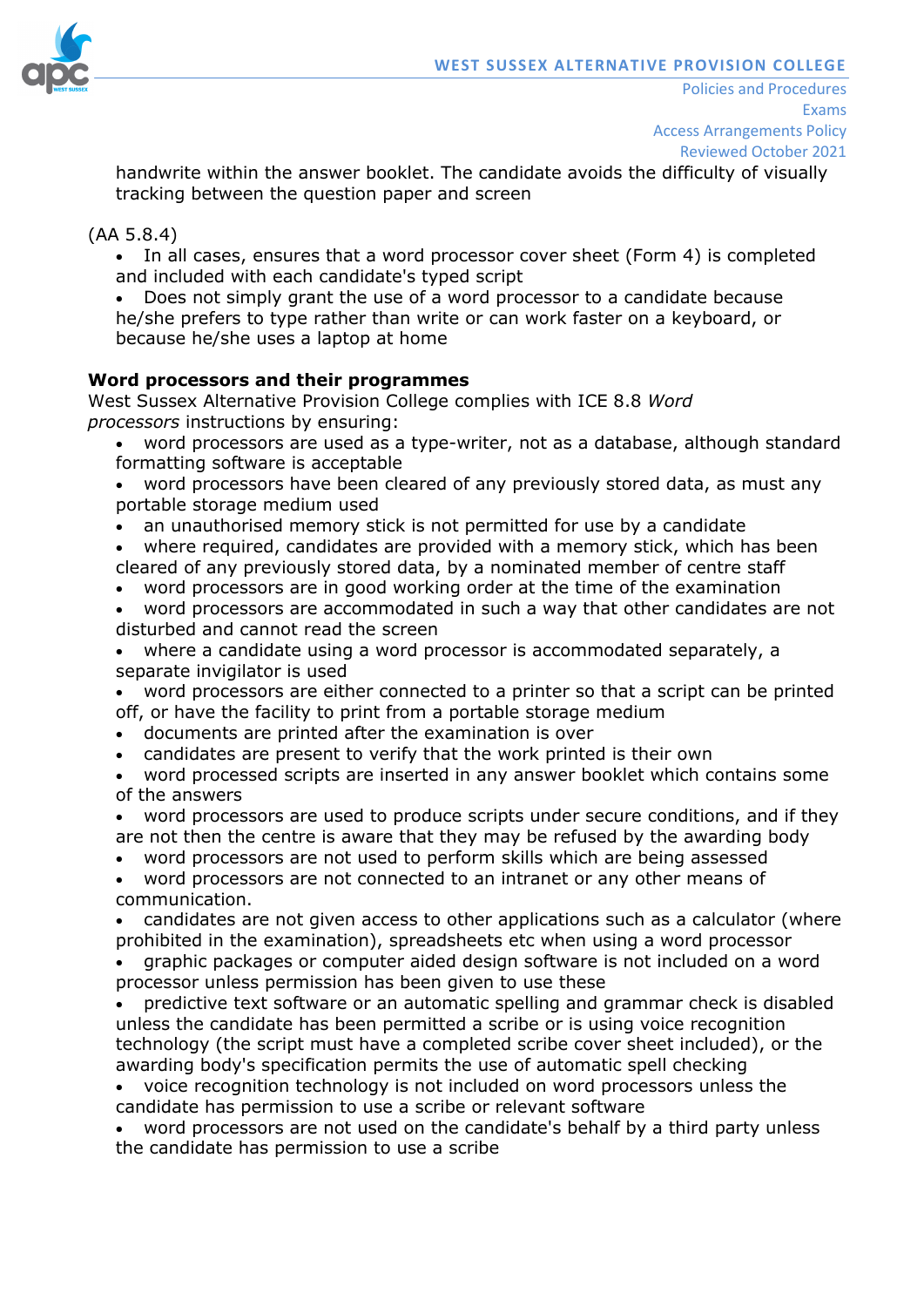

handwrite within the answer booklet. The candidate avoids the difficulty of visually tracking between the question paper and screen

### (AA 5.8.4)

• In all cases, ensures that a word processor cover sheet (Form 4) is completed and included with each candidate's typed script

• Does not simply grant the use of a word processor to a candidate because he/she prefers to type rather than write or can work faster on a keyboard, or because he/she uses a laptop at home

#### **Word processors and their programmes**

West Sussex Alternative Provision College complies with ICE 8.8 *Word processors* instructions by ensuring:

- word processors are used as a type-writer, not as a database, although standard formatting software is acceptable
- word processors have been cleared of any previously stored data, as must any portable storage medium used
- an unauthorised memory stick is not permitted for use by a candidate
- where required, candidates are provided with a memory stick, which has been cleared of any previously stored data, by a nominated member of centre staff
- word processors are in good working order at the time of the examination
- word processors are accommodated in such a way that other candidates are not disturbed and cannot read the screen

• where a candidate using a word processor is accommodated separately, a separate invigilator is used

• word processors are either connected to a printer so that a script can be printed off, or have the facility to print from a portable storage medium

- documents are printed after the examination is over
- candidates are present to verify that the work printed is their own

• word processed scripts are inserted in any answer booklet which contains some of the answers

• word processors are used to produce scripts under secure conditions, and if they are not then the centre is aware that they may be refused by the awarding body

• word processors are not used to perform skills which are being assessed

• word processors are not connected to an intranet or any other means of communication.

• candidates are not given access to other applications such as a calculator (where prohibited in the examination), spreadsheets etc when using a word processor

• graphic packages or computer aided design software is not included on a word processor unless permission has been given to use these

• predictive text software or an automatic spelling and grammar check is disabled unless the candidate has been permitted a scribe or is using voice recognition technology (the script must have a completed scribe cover sheet included), or the awarding body's specification permits the use of automatic spell checking

• voice recognition technology is not included on word processors unless the candidate has permission to use a scribe or relevant software

• word processors are not used on the candidate's behalf by a third party unless the candidate has permission to use a scribe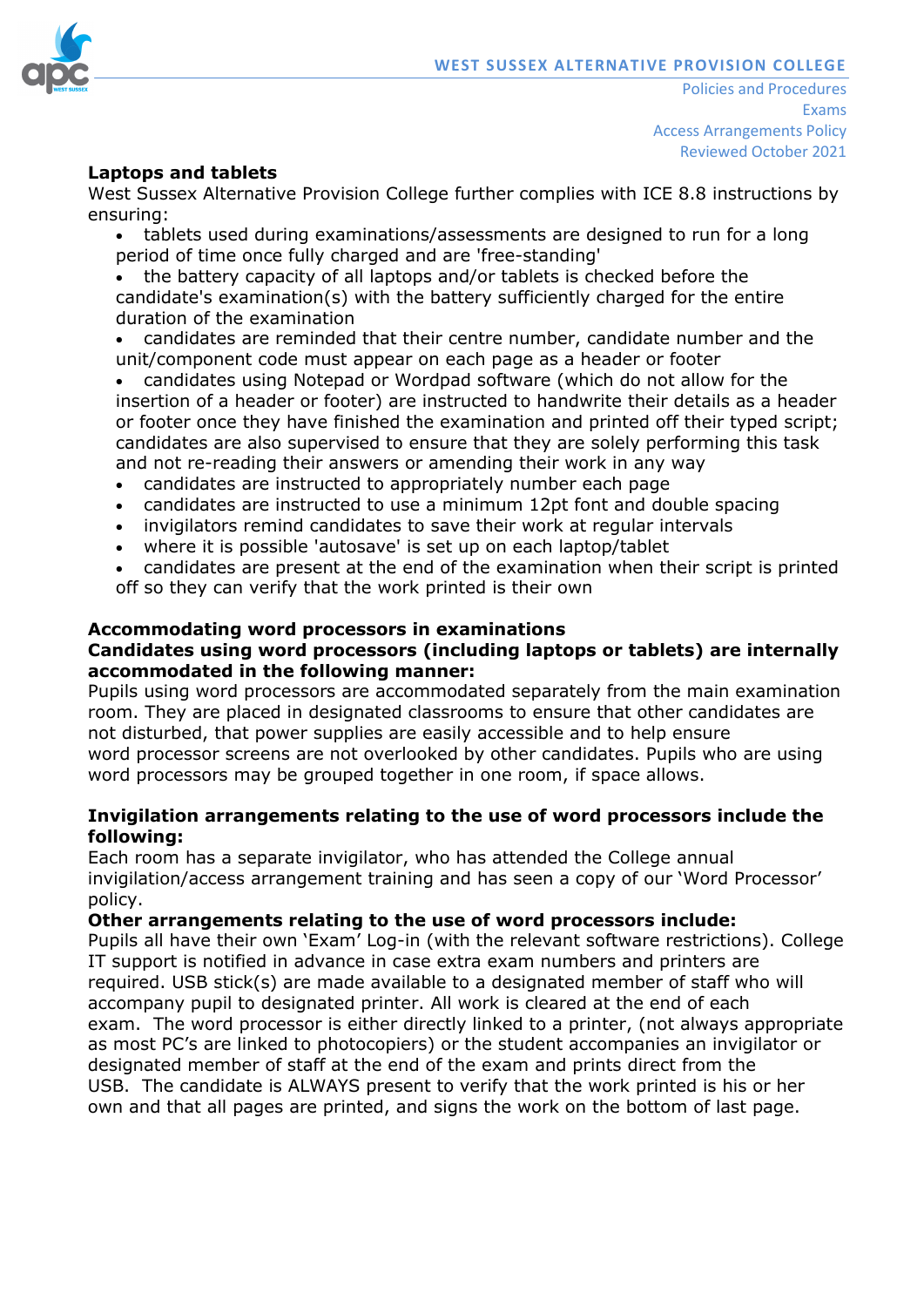

### **Laptops and tablets**

West Sussex Alternative Provision College further complies with ICE 8.8 instructions by ensuring:

- tablets used during examinations/assessments are designed to run for a long period of time once fully charged and are 'free-standing'
- the battery capacity of all laptops and/or tablets is checked before the candidate's examination(s) with the battery sufficiently charged for the entire duration of the examination
- candidates are reminded that their centre number, candidate number and the unit/component code must appear on each page as a header or footer
- candidates using Notepad or Wordpad software (which do not allow for the insertion of a header or footer) are instructed to handwrite their details as a header or footer once they have finished the examination and printed off their typed script; candidates are also supervised to ensure that they are solely performing this task and not re-reading their answers or amending their work in any way
- candidates are instructed to appropriately number each page
- candidates are instructed to use a minimum 12pt font and double spacing
- invigilators remind candidates to save their work at regular intervals
- where it is possible 'autosave' is set up on each laptop/tablet

• candidates are present at the end of the examination when their script is printed off so they can verify that the work printed is their own

#### **Accommodating word processors in examinations Candidates using word processors (including laptops or tablets) are internally**

#### **accommodated in the following manner:**

Pupils using word processors are accommodated separately from the main examination room. They are placed in designated classrooms to ensure that other candidates are not disturbed, that power supplies are easily accessible and to help ensure word processor screens are not overlooked by other candidates. Pupils who are using word processors may be grouped together in one room, if space allows.

### **Invigilation arrangements relating to the use of word processors include the following:**

Each room has a separate invigilator, who has attended the College annual invigilation/access arrangement training and has seen a copy of our 'Word Processor' policy.

### **Other arrangements relating to the use of word processors include:**

Pupils all have their own 'Exam' Log-in (with the relevant software restrictions). College IT support is notified in advance in case extra exam numbers and printers are required. USB stick(s) are made available to a designated member of staff who will accompany pupil to designated printer. All work is cleared at the end of each exam. The word processor is either directly linked to a printer, (not always appropriate as most PC's are linked to photocopiers) or the student accompanies an invigilator or designated member of staff at the end of the exam and prints direct from the USB. The candidate is ALWAYS present to verify that the work printed is his or her own and that all pages are printed, and signs the work on the bottom of last page.